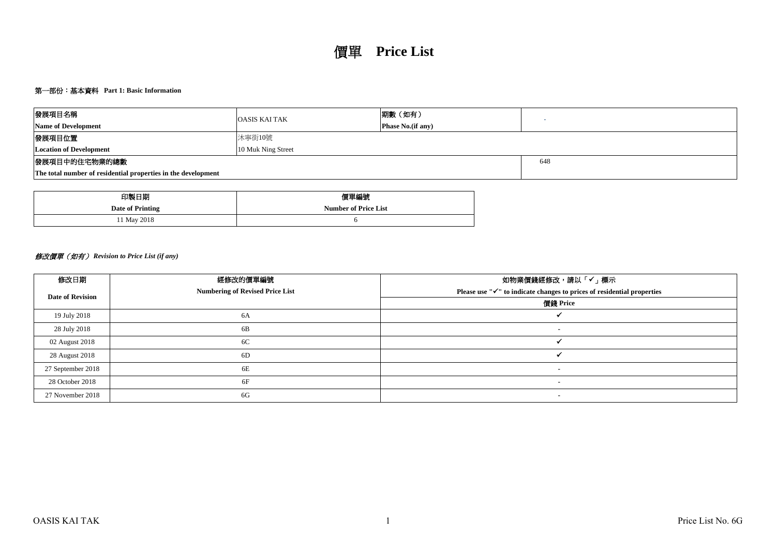## 第一部份:基本資料 **Part 1: Basic Information**

| 發展項目名稱                                                        | <b>OASIS KAI TAK</b> | 期數(如有)                    |     |  |  |  |  |  |
|---------------------------------------------------------------|----------------------|---------------------------|-----|--|--|--|--|--|
| <b>Name of Development</b>                                    |                      | <b>Phase No.</b> (if any) |     |  |  |  |  |  |
| 發展項目位置                                                        | 沐寧街10號               |                           |     |  |  |  |  |  |
| <b>Location of Development</b>                                | 10 Muk Ning Street   |                           |     |  |  |  |  |  |
| 發展項目中的住宅物業的總數                                                 |                      |                           | 648 |  |  |  |  |  |
| The total number of residential properties in the development |                      |                           |     |  |  |  |  |  |

| 印製日期             | 價單編號                        |
|------------------|-----------------------------|
| Date of Printing | <b>Number of Price List</b> |
| 11 May 2018      |                             |

# 修改價單(如有) *Revision to Price List (if any)*

| 修改日期                    | 經修改的價單編號                               | 如物業價錢經修改,請以「✔」標示                                                       |
|-------------------------|----------------------------------------|------------------------------------------------------------------------|
| <b>Date of Revision</b> | <b>Numbering of Revised Price List</b> | Please use "√" to indicate changes to prices of residential properties |
|                         |                                        | 價錢 Price                                                               |
| 19 July 2018            | 6A                                     |                                                                        |
| 28 July 2018            | 6B                                     |                                                                        |
| 02 August 2018          | 6C                                     |                                                                        |
| 28 August 2018          | 6D                                     |                                                                        |
| 27 September 2018       | 6E                                     |                                                                        |
| 28 October 2018         | 6F                                     |                                                                        |
| 27 November 2018        | 6G                                     | $\overline{\phantom{a}}$                                               |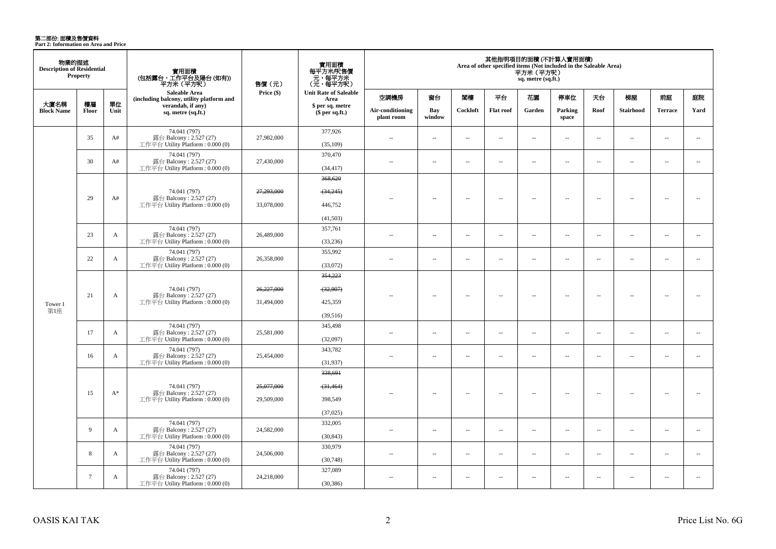第二部份: 面積及售價資料<br>Part 2: Information on Area and Price

| 物業的描述<br><b>Description of Residential</b> | Property        |                                                             | 實用面積<br>(包括露台,工作平台及陽台 (如有))<br>平方米(平方呎)                                     | 售價 (元)     | 實用面積<br>每平方米/呎售價<br>元,每平方米<br>(元,每平方呎) |                                |                          |          |                          | 平方米 (平方呎)<br>sq. metre (sq.ft.) | 其他指明項目的面積 (不計算入實用面積)<br>Area of other specified items (Not included in the Saleable Area) |                          |                  |                          |                          |
|--------------------------------------------|-----------------|-------------------------------------------------------------|-----------------------------------------------------------------------------|------------|----------------------------------------|--------------------------------|--------------------------|----------|--------------------------|---------------------------------|-------------------------------------------------------------------------------------------|--------------------------|------------------|--------------------------|--------------------------|
|                                            |                 |                                                             | Saleable Area<br>(including balcony, utility platform and                   | Price (\$) | <b>Unit Rate of Saleable</b><br>Area   | 空調機房                           | 窗台                       | 閣樓       | 平台                       | 花園                              | 停車位                                                                                       | 天台                       | 梯屋               | 前庭                       | 庭院                       |
| 大廈名稱<br><b>Block Name</b>                  | 樓層<br>Floor     | 單位<br>Unit                                                  | verandah, if any)<br>sq. metre (sq.ft.)                                     |            | \$ per sq. metre<br>\$per sq.ft.)      | Air-conditioning<br>plant room | Bay<br>window            | Cockloft | <b>Flat</b> roof         | Garden                          | Parking<br>space                                                                          | Roof                     | <b>Stairhood</b> | <b>Terrace</b>           | Yard                     |
|                                            | 35              | A#                                                          | 74.041 (797)<br>露台 Balcony: 2.527 (27)<br>工作平台 Utility Platform: 0.000 (0)  | 27,982,000 | 377,926<br>(35,109)                    | $\sim$                         | $\sim$                   | $\sim$   | $\sim$                   | $\sim$                          | $\sim$                                                                                    | $\sim$                   | $\sim$           | $\sim$                   | $\sim$                   |
|                                            | 30              | A#                                                          | 74.041 (797)<br>露台 Balcony: 2.527 (27)<br>工作平台 Utility Platform: 0.000 (0)  | 27,430,000 | 370,470<br>(34, 417)                   | $\sim$                         | $\sim$                   | $\sim$   | $\sim$                   | $\sim$                          | $\sim$                                                                                    | $\sim$                   | $\sim$           | $\sim$                   | $\sim$                   |
|                                            |                 |                                                             | 74.041 (797)                                                                | 27,293,000 | 368,620<br>(34,245)                    |                                |                          |          |                          |                                 |                                                                                           |                          |                  |                          |                          |
|                                            | 29              | A#                                                          | 露台 Balcony: 2.527 (27)<br>工作平台 Utility Platform: 0.000 (0)                  | 33,078,000 | 446,752                                |                                | $\overline{\phantom{a}}$ | $\sim$   | $\overline{\phantom{a}}$ | $\sim$                          | $\overline{\phantom{a}}$                                                                  | $\overline{\phantom{a}}$ | $\sim$           | $\overline{\phantom{a}}$ | $\overline{\phantom{a}}$ |
|                                            |                 |                                                             | 74.041 (797)                                                                |            | (41,503)<br>357,761                    |                                |                          |          |                          |                                 |                                                                                           |                          |                  |                          |                          |
| 23<br>22                                   | A               | 露台 Balcony: 2.527 (27)<br>工作平台 Utility Platform : 0.000 (0) | 26,489,000                                                                  | (33,236)   | $\sim$                                 | $\overline{\phantom{a}}$       | $\sim$                   | μ.       | $\overline{\phantom{a}}$ | $\overline{\phantom{a}}$        | $\sim$                                                                                    | $\sim$                   | $\sim$           | $\overline{\phantom{a}}$ |                          |
|                                            |                 | A                                                           | 74.041 (797)<br>露台 Balcony: 2.527 (27)<br>工作平台 Utility Platform: 0.000 (0)  | 26,358,000 | 355,992<br>(33,072)                    | $\sim$                         | $\overline{\phantom{a}}$ | $\sim$   | $\sim$                   | $\sim$                          | $\overline{\phantom{a}}$                                                                  | $\sim$                   | $\sim$           | $\overline{a}$           | $\sim$                   |
|                                            |                 |                                                             | 74.041 (797)<br>露台 Balcony: 2.527 (27)                                      |            | 354,223                                |                                |                          |          |                          |                                 |                                                                                           |                          |                  |                          |                          |
|                                            |                 |                                                             |                                                                             | 26,227,000 | (32,907)                               |                                |                          |          |                          |                                 |                                                                                           |                          |                  |                          |                          |
| Tower 1<br>第1座                             | 21              | A                                                           | 工作平台 Utility Platform: 0.000 (0)                                            | 31,494,000 | 425,359                                |                                | $\overline{\phantom{a}}$ | $\sim$   | $\overline{\phantom{a}}$ | Ξ.                              | $\overline{\phantom{a}}$                                                                  | $\overline{\phantom{a}}$ | ÷.               | $\sim$                   | 44                       |
|                                            |                 |                                                             | 74.041 (797)                                                                |            | (39,516)<br>345,498                    |                                |                          |          |                          |                                 |                                                                                           |                          |                  |                          |                          |
|                                            | 17              | A                                                           | 露台 Balcony: 2.527 (27)<br>工作平台 Utility Platform: 0.000 (0)                  | 25,581,000 | (32,097)                               | $\sim$                         | $\sim$                   | $\sim$   | $\sim$                   | $\overline{\phantom{a}}$        | $\sim$                                                                                    | $\overline{\phantom{a}}$ | $\sim$           | $\overline{\phantom{a}}$ | $\overline{\phantom{a}}$ |
|                                            | 16              | A                                                           | 74.041 (797)<br>露台 Balcony: 2.527 (27)<br>工作平台 Utility Platform: 0.000 (0)  | 25,454,000 | 343,782<br>(31, 937)                   | $\sim$                         | $\sim$                   | $\sim$   | μ.                       | $\overline{\phantom{a}}$        | $\sim$                                                                                    | $\overline{\phantom{a}}$ | $\sim$           | $\overline{\phantom{a}}$ | $\overline{\phantom{a}}$ |
|                                            |                 |                                                             |                                                                             |            | 338,691                                |                                |                          |          |                          |                                 |                                                                                           |                          |                  |                          |                          |
|                                            |                 |                                                             | 74.041 (797)                                                                | 25,077,000 | (31, 464)                              |                                |                          |          |                          |                                 |                                                                                           |                          |                  |                          |                          |
|                                            | 15              | $A^*$                                                       | 露台 Balcony: 2.527 (27)<br>工作平台 Utility Platform: 0.000 (0)                  | 29,509,000 | 398,549                                | $-$                            | $\sim$                   | $\sim$   | $\sim$                   | $\sim$                          | $\sim$                                                                                    | $\overline{\phantom{a}}$ | $\sim$           | $\overline{\phantom{a}}$ | $\sim$                   |
|                                            |                 |                                                             |                                                                             |            | (37,025)                               |                                |                          |          |                          |                                 |                                                                                           |                          |                  |                          |                          |
|                                            | 9               | A                                                           | 74.041 (797)<br>露台 Balcony: 2.527 (27)<br>工作平台 Utility Platform : 0.000 (0) | 24,582,000 | 332,005<br>(30, 843)                   | $\sim$                         | $\sim$                   | $\sim$   | $\sim$                   | $\sim$                          | $\sim$                                                                                    | $\overline{\phantom{a}}$ | $\sim$           | $\overline{a}$           | $\sim$                   |
|                                            |                 |                                                             | 74.041 (797)                                                                |            | 330,979                                |                                |                          |          |                          |                                 |                                                                                           |                          |                  |                          |                          |
|                                            | 8               | A                                                           | 露台 Balcony: 2.527 (27)<br>工作平台 Utility Platform: 0.000 (0)                  | 24,506,000 | (30,748)                               | $\sim$                         | $\sim$                   | $\sim$   | $\sim$                   | $\overline{\phantom{a}}$        | $\sim$                                                                                    | $\overline{\phantom{a}}$ | $\sim$           | $\overline{a}$           | $\overline{\phantom{a}}$ |
|                                            | $7\phantom{.0}$ | A                                                           | 74.041 (797)<br>露台 Balcony: 2.527 (27)<br>工作平台 Utility Platform : 0.000 (0) | 24,218,000 | 327,089<br>(30, 386)                   | $\overline{a}$                 | $\sim$                   | $\sim$   | $\overline{\phantom{a}}$ | $\overline{\phantom{a}}$        | $\sim$                                                                                    | $\sim$                   | ÷.               | $\sim$                   | $\overline{\phantom{a}}$ |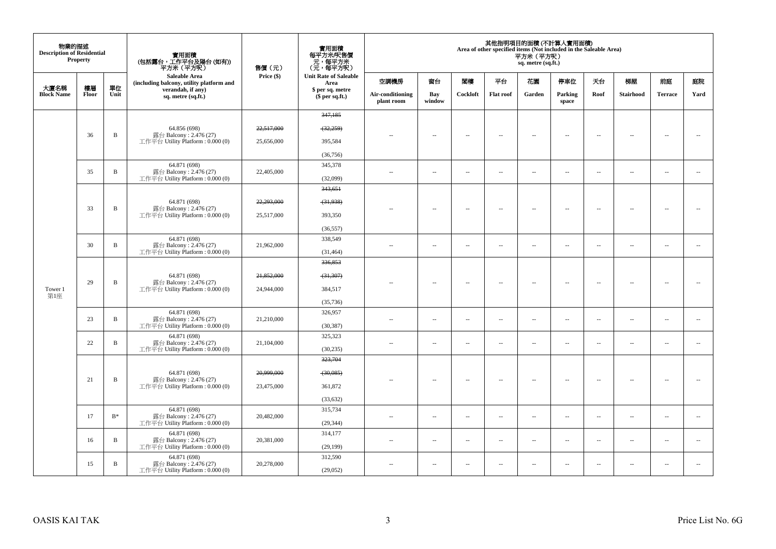| 物業的描述<br><b>Description of Residential</b> | <b>Property</b> |                 | 實用面積<br>(包括露台,工作平台及陽台 (如有))<br>平方米(平方呎)                                    | 售價(元)      | 實用面積<br>每平方米/呎售價<br>一元,每平方米<br>(元,每平方呎) |                                |                          |                          |                          | 平方米 (平方呎)<br>sq. metre (sq.ft.) | 其他指明項目的面積 (不計算入實用面積)<br>Area of other specified items (Not included in the Saleable Area) |                          |                          |                          |                          |
|--------------------------------------------|-----------------|-----------------|----------------------------------------------------------------------------|------------|-----------------------------------------|--------------------------------|--------------------------|--------------------------|--------------------------|---------------------------------|-------------------------------------------------------------------------------------------|--------------------------|--------------------------|--------------------------|--------------------------|
|                                            |                 |                 | Saleable Area<br>(including balcony, utility platform and                  | Price (\$) | <b>Unit Rate of Saleable</b><br>Area    | 空調機房                           | 窗台                       | 閣樓                       | 平台                       | 花園                              | 停車位                                                                                       | 天台                       | 梯屋                       | 前庭                       | 庭院                       |
| 大廈名稱<br><b>Block Name</b>                  | 樓層<br>Floor     | 單位<br>Unit      | verandah, if any)<br>sq. metre (sq.ft.)                                    |            | \$ per sq. metre<br>\$per sq.ft.)       | Air-conditioning<br>plant room | Bay<br>window            | Cockloft                 | <b>Flat roof</b>         | Garden                          | Parking<br>space                                                                          | Roof                     | Stairhood                | <b>Terrace</b>           | Yard                     |
|                                            |                 |                 |                                                                            |            | 347,185                                 |                                |                          |                          |                          |                                 |                                                                                           |                          |                          |                          |                          |
|                                            |                 |                 | 64.856 (698)                                                               | 22,517,000 | (32, 259)                               |                                |                          |                          |                          |                                 |                                                                                           |                          |                          |                          |                          |
|                                            | 36              | B               | 露台 Balcony: 2.476 (27)<br>工作平台 Utility Platform: 0.000 (0)                 | 25,656,000 | 395,584                                 |                                | $\sim$                   | $\sim$                   | $\sim$                   | $\overline{\phantom{a}}$        | $\sim$                                                                                    | $\sim$                   | $\sim$                   | $\sim$                   | $\sim$                   |
|                                            |                 |                 |                                                                            |            | (36, 756)                               |                                |                          |                          |                          |                                 |                                                                                           |                          |                          |                          |                          |
|                                            | 35              | B               | 64.871 (698)<br>露台 Balcony: 2.476 (27)                                     | 22,405,000 | 345,378                                 |                                | $\overline{\phantom{a}}$ | $\sim$                   | $\overline{\phantom{a}}$ | $\overline{\phantom{a}}$        | $\overline{\phantom{a}}$                                                                  | $\overline{\phantom{a}}$ | $\overline{\phantom{a}}$ | $\overline{\phantom{a}}$ | $\overline{\phantom{a}}$ |
|                                            |                 |                 | 工作平台 Utility Platform: 0.000 (0)                                           |            | (32,099)                                | $\sim$ $\sim$                  |                          |                          |                          |                                 |                                                                                           |                          |                          |                          |                          |
|                                            |                 |                 |                                                                            |            | 343,651                                 |                                |                          |                          |                          |                                 |                                                                                           |                          |                          |                          |                          |
|                                            | 33              | $\, {\bf B}$    | 64.871 (698)<br>露台 Balcony: 2.476 (27)                                     | 22,293,000 | (31,938)                                |                                | $\sim$                   | $\sim$                   | $\sim$                   | $\overline{\phantom{a}}$        | $\sim$                                                                                    | $\overline{\phantom{a}}$ | $\sim$                   | $\sim$                   | ÷.                       |
|                                            |                 |                 | 工作平台 Utility Platform : $0.000(0)$                                         | 25,517,000 | 393,350                                 |                                |                          |                          |                          |                                 |                                                                                           |                          |                          |                          |                          |
|                                            |                 |                 |                                                                            |            | (36, 557)                               |                                |                          |                          |                          |                                 |                                                                                           |                          |                          |                          |                          |
|                                            | 30              | B               | 64.871 (698)<br>露台 Balcony: 2.476 (27)                                     | 21,962,000 | 338,549                                 | $\overline{\phantom{m}}$       | $\sim$                   | $\overline{\phantom{a}}$ | $\overline{\phantom{a}}$ | $\overline{\phantom{a}}$        | $\sim$                                                                                    | $\overline{\phantom{a}}$ | $\sim$                   | $\sim$                   | $\overline{\phantom{a}}$ |
|                                            |                 |                 | 工作平台 Utility Platform : $0.000(0)$                                         |            | (31, 464)                               |                                |                          |                          |                          |                                 |                                                                                           |                          |                          |                          |                          |
|                                            |                 |                 | 64.871 (698)<br>露台 Balcony: 2.476 (27)<br>工作平台 Utility Platform: 0.000 (0) |            | 336,853                                 |                                |                          |                          |                          |                                 |                                                                                           |                          |                          |                          |                          |
|                                            | 29              | $\, {\bf B}$    |                                                                            | 21,852,000 | (31, 307)                               |                                | $\overline{\phantom{a}}$ |                          | $\sim$                   | Ξ.                              | $\sim$                                                                                    | ÷.                       | $\overline{\phantom{a}}$ |                          |                          |
| Tower 1<br>第1座                             |                 |                 |                                                                            | 24,944,000 | 384,517                                 |                                |                          |                          |                          |                                 |                                                                                           |                          |                          |                          |                          |
|                                            |                 |                 |                                                                            |            | (35, 736)                               |                                |                          |                          |                          |                                 |                                                                                           |                          |                          |                          |                          |
|                                            | 23              | B               | 64.871 (698)<br>露台 Balcony: 2.476 (27)                                     | 21,210,000 | 326,957                                 | $\overline{a}$                 | $\overline{\phantom{a}}$ | $\overline{\phantom{a}}$ | $\sim$                   | $\overline{\phantom{a}}$        | $\sim$                                                                                    | $\hspace{0.05cm} -$      | $\overline{\phantom{a}}$ | $\sim$                   | $\sim$                   |
|                                            |                 |                 | 工作平台 Utility Platform: 0.000 (0)                                           |            | (30, 387)                               |                                |                          |                          |                          |                                 |                                                                                           |                          |                          |                          |                          |
|                                            | 22              | $\, {\bf B}$    | 64.871 (698)<br>露台 Balcony: 2.476 (27)                                     | 21,104,000 | 325,323                                 | $\overline{a}$                 | $\overline{a}$           | $\sim$                   | $\sim$                   | $\sim$                          | $\sim$                                                                                    | $\overline{\phantom{a}}$ | $\sim$                   | $\sim$                   | $\sim$                   |
|                                            |                 |                 | 工作平台 Utility Platform: 0.000 (0)                                           |            | (30, 235)<br>323,704                    |                                |                          |                          |                          |                                 |                                                                                           |                          |                          |                          |                          |
|                                            |                 |                 |                                                                            |            |                                         |                                |                          |                          |                          |                                 |                                                                                           |                          |                          |                          |                          |
|                                            | 21              | $\, {\bf B}$    | 64.871 (698)<br>露台 Balcony: 2.476 (27)                                     | 20,999,000 | $-30,085$                               | $\overline{a}$                 | $\sim$                   | $\sim$                   | $\sim$                   | $\sim$                          | $\sim$                                                                                    | $\overline{\phantom{a}}$ | $\sim$                   | $\sim$                   | $\sim$                   |
|                                            |                 |                 | 工作平台 Utility Platform: 0.000 (0)                                           | 23,475,000 | 361,872                                 |                                |                          |                          |                          |                                 |                                                                                           |                          |                          |                          |                          |
|                                            |                 |                 |                                                                            |            | (33, 632)                               |                                |                          |                          |                          |                                 |                                                                                           |                          |                          |                          |                          |
|                                            | 17              | $B*$            | 64.871 (698)<br>露台 Balcony: 2.476 (27)                                     | 20,482,000 | 315,734                                 | $\sim$ $\sim$                  | $\sim$                   | $\overline{\phantom{a}}$ | $\sim$                   | $\overline{\phantom{a}}$        | $\sim$                                                                                    | $\overline{\phantom{a}}$ | $\overline{\phantom{a}}$ | $\sim$                   | $\overline{\phantom{a}}$ |
|                                            |                 |                 | 工作平台 Utility Platform : 0.000 (0)<br>64.871 (698)                          |            | (29, 344)<br>314,177                    |                                |                          |                          |                          |                                 |                                                                                           |                          |                          |                          |                          |
|                                            | 16              | $\, {\bf B} \,$ | 露台 Balcony: 2.476 (27)                                                     | 20,381,000 |                                         | $\overline{a}$                 | $\sim$                   | $\sim$                   | $\sim$                   | $\overline{a}$                  | $\overline{\phantom{a}}$                                                                  | $\overline{\phantom{a}}$ | $\sim$                   | $\sim$                   | $\sim$                   |
|                                            |                 |                 | 工作平台 Utility Platform: 0.000 (0)<br>64.871 (698)                           |            | (29, 199)<br>312,590                    |                                |                          |                          |                          |                                 |                                                                                           |                          |                          |                          |                          |
|                                            | 15              | B               | 露台 Balcony: 2.476 (27)<br>工作平台 Utility Platform : 0.000 (0)                | 20,278,000 | (29,052)                                | $\ddot{\phantom{a}}$           | $\overline{\phantom{a}}$ | ÷.                       | $\sim$                   | μ.                              | $\sim$                                                                                    | $\overline{\phantom{a}}$ | $\overline{\phantom{a}}$ | $\sim$                   | $\overline{\phantom{a}}$ |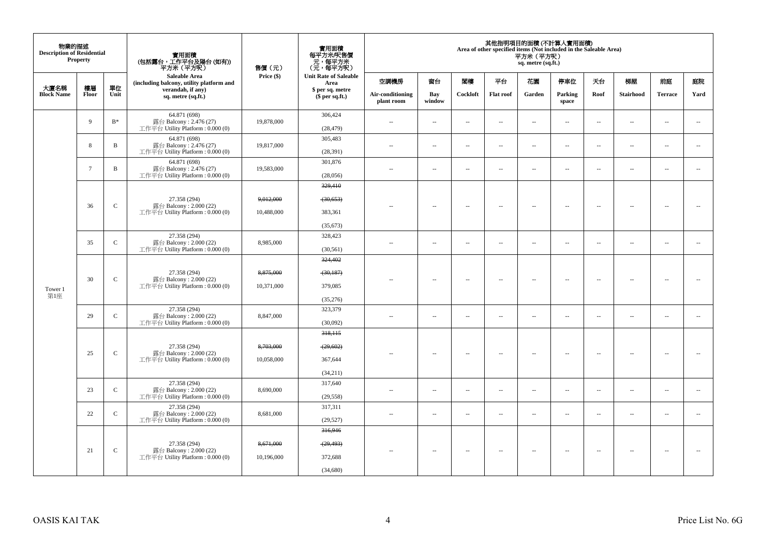| 物業的描述<br><b>Description of Residential</b> | Property        |              | 實用面積<br>(包括露台,工作平台及陽台(如有))<br>平方米(平方呎)                                       | 售價(元)                   | 實用面積<br>每平方米/呎售價<br>- 元, 每平方米<br>(元, 每平方呎)   |                                |                          |                          |                          | 平方米 (平方呎)<br>sq. metre (sq.ft.) | 其他指明項目的面積 (不計算入實用面積)<br>Area of other specified items (Not included in the Saleable Area) |                          |                          |                          |                          |
|--------------------------------------------|-----------------|--------------|------------------------------------------------------------------------------|-------------------------|----------------------------------------------|--------------------------------|--------------------------|--------------------------|--------------------------|---------------------------------|-------------------------------------------------------------------------------------------|--------------------------|--------------------------|--------------------------|--------------------------|
|                                            |                 |              | Saleable Area<br>(including balcony, utility platform and                    | Price (\$)              | <b>Unit Rate of Saleable</b><br>Area         | 空調機房                           | 窗台                       | 関樓                       | 平台                       | 花園                              | 停車位                                                                                       | 天台                       | 梯屋                       | 前庭                       | 庭院                       |
| 大廈名稱<br><b>Block Name</b>                  | 樓層<br>Floor     | 單位<br>Unit   | verandah, if any)<br>sq. metre (sq.ft.)                                      |                         | \$ per sq. metre<br>\$per sq.ft.)            | Air-conditioning<br>plant room | Bay<br>window            | Cockloft                 | <b>Flat roof</b>         | Garden                          | Parking<br>space                                                                          | Roof                     | <b>Stairhood</b>         | <b>Terrace</b>           | Yard                     |
|                                            | 9               | $B^*$        | 64.871 (698)<br>露台 Balcony: 2.476 (27)<br>工作平台 Utility Platform: 0.000 (0)   | 19,878,000              | 306,424<br>(28, 479)                         | $\overline{a}$                 | $\sim$                   | $\sim$                   | $\sim$                   | μ.                              | $\sim$                                                                                    | $\overline{\phantom{a}}$ | $\overline{\phantom{a}}$ | $\sim$                   | $\sim$                   |
|                                            | 8               | $\, {\bf B}$ | 64.871 (698)<br>露台 Balcony: 2.476 (27)<br>工作平台 Utility Platform: 0.000 (0)   | 19,817,000              | 305,483<br>(28, 391)                         | $\sim$                         | $\sim$                   | $\sim$                   | $\sim$                   | μ.                              | $\sim$                                                                                    | $\overline{\phantom{a}}$ | $\overline{\phantom{a}}$ | $\sim$                   | $\sim$                   |
|                                            | $7\phantom{.0}$ | B            | 64.871 (698)<br>露台 Balcony: 2.476 (27)<br>工作平台 Utility Platform : $0.000(0)$ | 19,583,000              | 301,876<br>(28,056)                          | $\sim$                         | $\overline{\phantom{a}}$ | $\sim$                   | $\sim$                   | $\sim$                          | $\sim$                                                                                    | $\sim$                   | $\overline{\phantom{a}}$ | $\sim$                   | $\sim$                   |
| Tower 1<br>第1座                             | 36              | $\mathsf{C}$ | 27.358 (294)<br>露台 Balcony: 2.000 (22)<br>工作平台 Utility Platform: 0.000 (0)   | 9,012,000<br>10,488,000 | 329,410<br>(30, 653)<br>383,361<br>(35, 673) |                                | $\sim$                   | $\sim$                   | $\overline{\phantom{a}}$ | $\overline{\phantom{a}}$        | $\sim$                                                                                    | $\overline{\phantom{a}}$ | $\sim$                   | $\sim$                   | $\sim$                   |
|                                            | 35              | $\mathsf{C}$ | 27.358 (294)<br>露台 Balcony: 2.000 (22)<br>工作平台 Utility Platform : $0.000(0)$ | 8,985,000               | 328,423<br>(30, 561)                         | $-$                            | $\sim$                   | $\overline{\phantom{a}}$ | $\overline{\phantom{a}}$ | $\overline{a}$                  | $\overline{\phantom{a}}$                                                                  | $\overline{\phantom{a}}$ | $\overline{\phantom{a}}$ | $\overline{\phantom{a}}$ | $\sim$                   |
|                                            | 30              | $\mathbf C$  | 27.358 (294)<br>露台 Balcony: 2.000 (22)<br>工作平台 Utility Platform : $0.000(0)$ | 8,875,000<br>10.371.000 | 324,402<br>(30, 187)<br>379,085<br>(35,276)  |                                | $\sim$                   | $\sim$                   | $\ddot{\phantom{a}}$     | $\overline{\phantom{a}}$        | $\sim$                                                                                    | $\overline{\phantom{a}}$ | $\overline{\phantom{a}}$ | $\bar{a}$                | $\sim$                   |
|                                            | 29              | $\mathsf{C}$ | 27.358 (294)<br>露台 Balcony: 2.000 (22)<br>工作平台 Utility Platform : $0.000(0)$ | 8,847,000               | 323,379<br>(30,092)                          | $\overline{\phantom{a}}$       | $\sim$                   | $\sim$                   | $\overline{\phantom{a}}$ | μ.                              | $\overline{\phantom{a}}$                                                                  | $\overline{\phantom{a}}$ | $\overline{\phantom{a}}$ | $\overline{\phantom{a}}$ | $\overline{\phantom{a}}$ |
|                                            | 25              | $\mathsf{C}$ | 27.358 (294)<br>露台 Balcony: 2.000 (22)<br>工作平台 Utility Platform : $0.000(0)$ | 8,703,000<br>10,058,000 | 318,115<br>(29, 602)<br>367,644<br>(34,211)  | ٠.                             | $\sim$                   | $\sim$                   | $\sim$                   | $\sim$                          | $\sim$                                                                                    | $\sim$                   | $\sim$                   |                          |                          |
|                                            | 23              | $\mathbf{C}$ | 27.358 (294)<br>露台 Balcony: 2.000 (22)<br>工作平台 Utility Platform: 0.000 (0)   | 8,690,000               | 317,640<br>(29, 558)                         | $\sim$ $\sim$                  | $\sim$                   | $\sim$                   | $\sim$                   | $\sim$                          | $\sim$                                                                                    | $\overline{\phantom{a}}$ | $\sim$                   | $\sim$                   | $\overline{\phantom{a}}$ |
|                                            | 22              | $\mathbf{C}$ | 27.358 (294)<br>露台 Balcony: 2.000 (22)<br>工作平台 Utility Platform: 0.000 (0)   | 8,681,000               | 317,311<br>(29, 527)                         | $\sim$                         | $\sim$                   | $\sim$                   | $\sim$                   | $\overline{\phantom{a}}$        | $\sim$                                                                                    | $\overline{\phantom{a}}$ | $\overline{\phantom{a}}$ | $\sim$                   | ÷.                       |
|                                            | 21              | $\mathsf{C}$ | 27.358 (294)<br>露台 Balcony: 2.000 (22)<br>工作平台 Utility Platform : $0.000(0)$ | 8,671,000<br>10,196,000 | 316,946<br>(29, 493)<br>372,688<br>(34,680)  | $\sim$ $\sim$                  | $\overline{\phantom{a}}$ | $\sim$                   | $\overline{\phantom{a}}$ | $\overline{\phantom{a}}$        | $\overline{\phantom{a}}$                                                                  | $\overline{\phantom{a}}$ | $\overline{\phantom{a}}$ | $\overline{\phantom{a}}$ |                          |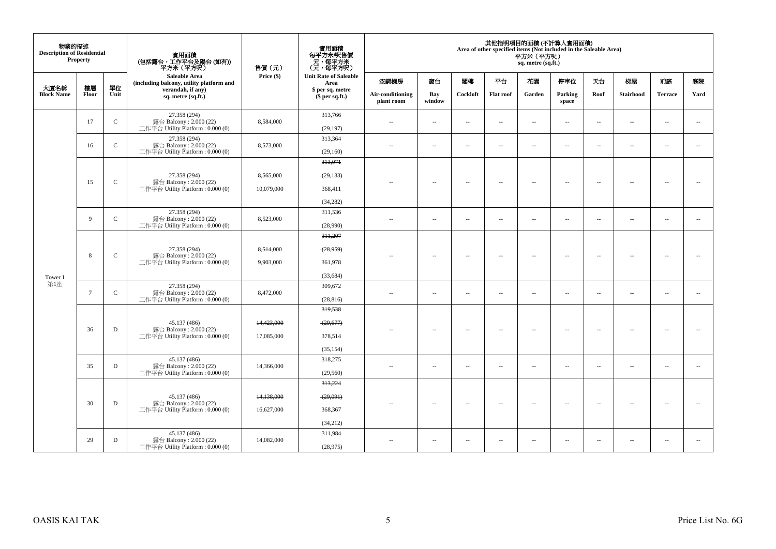| 物業的描述<br><b>Description of Residential</b> | <b>Property</b> |               | 實用面積<br>(包括露台,工作平台及陽台 (如有))<br>平方米(平方呎)                                      | 售價(元)                    | 實用面積<br>每平方米/呎售價<br>元,每平方米<br>(元,每平方呎)       |                                |                          |                          |                          | 平方米 (平方呎)<br>sq. metre (sq.ft.) | 其他指明項目的面積 (不計算入實用面積)<br>Area of other specified items (Not included in the Saleable Area) |                          |                          |                          |                          |
|--------------------------------------------|-----------------|---------------|------------------------------------------------------------------------------|--------------------------|----------------------------------------------|--------------------------------|--------------------------|--------------------------|--------------------------|---------------------------------|-------------------------------------------------------------------------------------------|--------------------------|--------------------------|--------------------------|--------------------------|
|                                            |                 |               | <b>Saleable Area</b><br>(including balcony, utility platform and             | Price (\$)               | <b>Unit Rate of Saleable</b><br>Area         | 空調機房                           | 窗台                       | 関樓                       | 平台                       | 花園                              | 停車位                                                                                       | 天台                       | 梯屋                       | 前庭                       | 庭院                       |
| 大廈名稱<br><b>Block Name</b>                  | 樓層<br>Floor     | 單位<br>Unit    | verandah, if any)<br>sq. metre (sq.ft.)                                      |                          | \$ per sq. metre<br>\$per sq.ft.)            | Air-conditioning<br>plant room | Bay<br>window            | Cockloft                 | <b>Flat roof</b>         | Garden                          | Parking<br>space                                                                          | Roof                     | Stairhood                | <b>Terrace</b>           | Yard                     |
|                                            | 17              | $\mathsf C$   | 27.358 (294)<br>露台 Balcony: 2.000 (22)<br>工作平台 Utility Platform: 0.000 (0)   | 8,584,000                | 313,766<br>(29, 197)                         | $\overline{\phantom{a}}$       | $\ldots$                 | $\sim$                   | $\ldots$                 | $\ldots$                        | $\sim$                                                                                    | $\ddotsc$                | $\overline{\phantom{a}}$ | $\sim$                   | $\overline{\phantom{a}}$ |
|                                            | 16              | $\mathbf C$   | 27.358 (294)<br>露台 Balcony: 2.000 (22)<br>工作平台 Utility Platform: 0.000 (0)   | 8,573,000                | 313,364<br>(29,160)                          | $\sim$                         | $\sim$                   | $\sim$                   | $\sim$                   | $\overline{\phantom{a}}$        | $\sim$                                                                                    | $\overline{\phantom{a}}$ | $\overline{\phantom{a}}$ | $\sim$                   | $\overline{\phantom{a}}$ |
| Tower 1                                    | 15              | $\mathbf C$   | 27.358 (294)<br>露台 Balcony: 2.000 (22)<br>工作平台 Utility Platform: 0.000 (0)   | 8,565,000<br>10,079,000  | 313,071<br>(29, 133)<br>368,411<br>(34, 282) | $\overline{a}$                 | $\overline{\phantom{a}}$ | $\sim$                   | $\overline{\phantom{a}}$ | $\overline{\phantom{a}}$        | $\sim$                                                                                    | $\overline{\phantom{a}}$ | $\sim$                   | $\overline{\phantom{a}}$ | $\overline{\phantom{a}}$ |
|                                            | 9               | $\mathcal{C}$ | 27.358 (294)<br>露台 Balcony: 2.000 (22)<br>工作平台 Utility Platform : 0.000 (0)  | 8,523,000                | 311,536<br>(28,990)                          | ٠.                             | μ.                       | $\overline{\phantom{a}}$ | $\overline{\phantom{a}}$ | $\overline{\phantom{a}}$        | $\overline{\phantom{a}}$                                                                  | $\overline{\phantom{a}}$ | $\overline{\phantom{a}}$ | $\overline{\phantom{a}}$ | $\overline{\phantom{a}}$ |
|                                            | 8               | $\mathbf C$   | 27.358 (294)<br>露台 Balcony: 2.000 (22)<br>工作平台 Utility Platform : 0.000 (0)  | 8,514,000<br>9,903,000   | 311.207<br>(28, 959)<br>361.978<br>(33, 684) | $\overline{a}$                 | $\sim$                   | $\overline{\phantom{a}}$ | $\sim$                   | $\sim$                          | $\sim$                                                                                    | $\sim$                   | $\overline{\phantom{a}}$ | $\overline{\phantom{a}}$ | $\sim$                   |
| 第1座                                        | $\overline{7}$  | $\mathsf{C}$  | 27.358 (294)<br>露台 Balcony: 2.000 (22)<br>工作平台 Utility Platform: 0.000 (0)   | 8,472,000                | 309,672<br>(28, 816)                         | $\sim$                         | $\overline{a}$           | $\sim$                   | $\sim$                   | $\sim$                          | $\sim$                                                                                    | $\sim$                   | $\sim$                   | $\sim$                   | $\sim$                   |
|                                            | 36              | $\mathbf D$   | 45.137 (486)<br>露台 Balcony: 2.000 (22)<br>工作平台 Utility Platform : $0.000(0)$ | 14,423,000<br>17,085,000 | 319,538<br>(29,677)<br>378,514<br>(35, 154)  |                                | $\sim$                   | $\sim$                   | $\sim$                   | $\overline{\phantom{a}}$        | $\sim$                                                                                    | $\overline{\phantom{a}}$ | $\overline{\phantom{a}}$ | $\sim$                   | $\sim$                   |
|                                            | 35              | D             | 45.137 (486)<br>露台 Balcony: 2.000 (22)<br>工作平台 Utility Platform : 0.000 (0)  | 14,366,000               | 318,275<br>(29, 560)                         | $\sim$ $\sim$                  | $\sim$                   | $\sim$                   | $\sim$                   | $\overline{a}$                  | $\sim$                                                                                    | $\overline{\phantom{a}}$ | $\sim$                   | $\sim$                   | $\overline{\phantom{a}}$ |
|                                            | 30              | $\mathbf D$   | 45.137 (486)<br>露台 Balcony: 2.000 (22)<br>工作平台 Utility Platform : $0.000(0)$ | 14,138,000<br>16,627,000 | 313,224<br>(29,091)<br>368,367<br>(34,212)   |                                | $\overline{\phantom{a}}$ | $\sim$                   | $\overline{\phantom{a}}$ | $\overline{\phantom{a}}$        | $\sim$                                                                                    | $\sim$                   | $\overline{\phantom{a}}$ | $\sim$                   | $\sim$                   |
|                                            | 29              | D             | 45.137 (486)<br>露台 Balcony: 2.000 (22)<br>工作平台 Utility Platform : 0.000 (0)  | 14.082.000               | 311,984<br>(28,975)                          | $\sim$ $\sim$                  | $\overline{\phantom{a}}$ | $\overline{\phantom{a}}$ | $\overline{\phantom{a}}$ | $\overline{\phantom{a}}$        | $\overline{\phantom{a}}$                                                                  | $\overline{\phantom{a}}$ | $\overline{\phantom{a}}$ | $\overline{\phantom{a}}$ | $\sim$                   |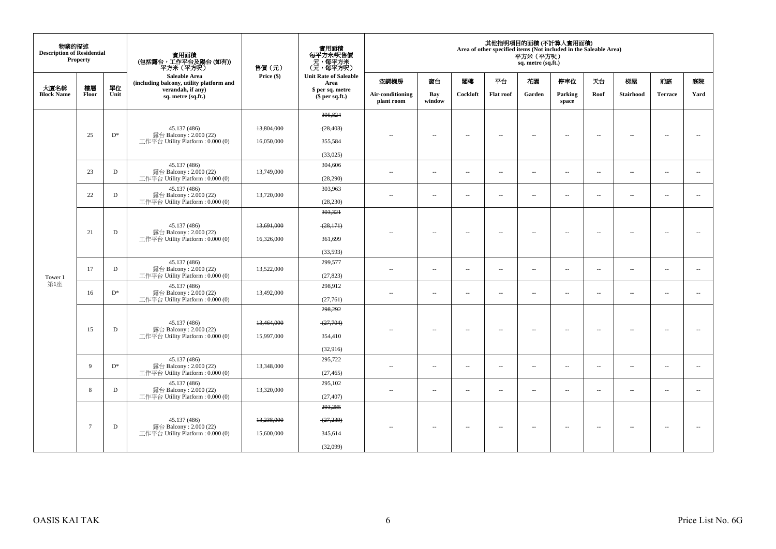| 物業的描述<br><b>Description of Residential</b> | <b>Property</b> |            | 實用面積<br>(包括露台,工作平台及陽台 (如有))<br>平方米(平方呎)                      | 售價(元)      | 實用面積<br>每平方米/呎售價<br>- 元, 每平方米<br>(元, 每平方呎) |                                |                          |                          |                          | 平方米 (平方呎)<br>sq. metre (sq.ft.) | 其他指明項目的面積 (不計算入實用面積)<br>Area of other specified items (Not included in the Saleable Area) |                          |                          |                          |                          |
|--------------------------------------------|-----------------|------------|--------------------------------------------------------------|------------|--------------------------------------------|--------------------------------|--------------------------|--------------------------|--------------------------|---------------------------------|-------------------------------------------------------------------------------------------|--------------------------|--------------------------|--------------------------|--------------------------|
|                                            |                 |            | Saleable Area<br>(including balcony, utility platform and    | Price (\$) | <b>Unit Rate of Saleable</b><br>Area       | 空調機房                           | 窗台                       | 閣樓                       | 平台                       | 花園                              | 停車位                                                                                       | 天台                       | 梯屋                       | 前庭                       | 庭院                       |
| 大廈名稱<br><b>Block Name</b>                  | 樓層<br>Floor     | 單位<br>Unit | verandah, if any)<br>sq. metre (sq.ft.)                      |            | \$ per sq. metre<br>(\$ per sq.ft.)        | Air-conditioning<br>plant room | Bay<br>window            | Cockloft                 | Flat roof                | Garden                          | Parking<br>space                                                                          | Roof                     | Stairhood                | <b>Terrace</b>           | Yard                     |
|                                            |                 |            |                                                              |            | 305.824                                    |                                |                          |                          |                          |                                 |                                                                                           |                          |                          |                          |                          |
|                                            | 25              | $D^*$      | 45.137 (486)<br>露台 Balcony: 2.000 (22)                       | 13,804,000 | (28, 403)                                  |                                | $\sim$                   | $\sim$                   | $\sim$                   | $\sim$                          | $\sim$                                                                                    | $\overline{\phantom{a}}$ | $\sim$                   | $\sim$                   | $\sim$                   |
|                                            |                 |            | 工作平台 Utility Platform: 0.000 (0)                             | 16,050,000 | 355,584                                    |                                |                          |                          |                          |                                 |                                                                                           |                          |                          |                          |                          |
|                                            |                 |            | 45,137 (486)                                                 |            | (33,025)                                   |                                |                          |                          |                          |                                 |                                                                                           |                          |                          |                          |                          |
|                                            | 23              | D          | 露台 Balcony: 2.000 (22)                                       | 13,749,000 | 304,606                                    | $\overline{\phantom{a}}$       | $\overline{\phantom{a}}$ | ÷.                       | $\overline{\phantom{a}}$ | μ.                              | $\overline{\phantom{a}}$                                                                  | $\overline{\phantom{a}}$ | $\overline{\phantom{a}}$ | $\overline{\phantom{a}}$ | $\overline{\phantom{a}}$ |
|                                            |                 |            | 工作平台 Utility Platform: 0.000 (0)<br>45.137 (486)             |            | (28,290)<br>303,963                        |                                |                          |                          |                          |                                 |                                                                                           |                          |                          |                          |                          |
|                                            | 22              | D          | 露台 Balcony: 2.000 (22)<br>工作平台 Utility Platform : 0.000 (0)  | 13,720,000 | (28, 230)                                  | ٠.                             | $\overline{\phantom{a}}$ | 4                        | $\overline{\phantom{a}}$ | $\overline{\phantom{a}}$        | $\overline{\phantom{a}}$                                                                  | $\overline{\phantom{a}}$ | $\overline{\phantom{a}}$ | $\sim$                   | $\overline{\phantom{a}}$ |
|                                            |                 |            |                                                              |            | 303,321                                    |                                |                          |                          |                          |                                 |                                                                                           |                          |                          |                          |                          |
|                                            |                 |            | 45.137 (486)                                                 | 13,691,000 | (28,171)                                   |                                |                          |                          |                          |                                 |                                                                                           |                          |                          |                          |                          |
|                                            | 21              | D          | 露台 Balcony: 2.000 (22)<br>工作平台 Utility Platform: 0.000 (0)   | 16,326,000 | 361,699                                    |                                | $\overline{\phantom{a}}$ | $\sim$                   | $\sim$                   | $\overline{a}$                  | $\sim$                                                                                    | $\overline{\phantom{a}}$ | $\overline{\phantom{a}}$ | $\sim$                   | $\sim$                   |
|                                            |                 |            |                                                              |            | (33,593)                                   |                                |                          |                          |                          |                                 |                                                                                           |                          |                          |                          |                          |
|                                            |                 |            | 45.137 (486)<br>露台 Balcony: 2.000 (22)                       |            | 299,577                                    |                                |                          |                          |                          |                                 |                                                                                           |                          |                          |                          |                          |
| Tower 1                                    | 17              | D          | 工作平台 Utility Platform: 0.000 (0)                             | 13,522,000 | (27, 823)                                  | $\sim$                         | $\overline{\phantom{a}}$ | $\sim$                   | $\sim$                   | $\sim$                          | $\sim$                                                                                    | $\overline{\phantom{a}}$ | $\sim$                   | $\sim$                   | $\overline{\phantom{a}}$ |
| 第1座                                        | 16              | $D^*$      | 45.137 (486)<br>露台 Balcony: 2.000 (22)                       | 13,492,000 | 298,912                                    |                                | $\sim$                   | $\sim$                   | $\sim$                   | $\sim$                          | $\sim$                                                                                    | $\overline{\phantom{a}}$ | $\overline{a}$           | $\sim$                   | $\overline{\phantom{a}}$ |
|                                            |                 |            | 工作平台 Utility Platform: 0.000 (0)                             |            | (27,761)                                   | $\sim$                         |                          |                          |                          |                                 |                                                                                           |                          |                          |                          |                          |
|                                            |                 |            |                                                              |            | 298,292                                    |                                |                          |                          |                          |                                 |                                                                                           |                          |                          |                          |                          |
|                                            |                 |            | 45.137 (486)                                                 | 13,464,000 | (27,704)                                   |                                |                          |                          |                          |                                 |                                                                                           |                          |                          |                          |                          |
|                                            | 15              | D          | 露台 Balcony: 2.000 (22)<br>工作平台 Utility Platform : $0.000(0)$ | 15,997,000 | 354,410                                    |                                | $\overline{a}$           | $\sim$                   | $\sim$                   | $\overline{a}$                  | $\sim$                                                                                    | $\sim$                   | $\sim$                   | $\sim$                   | $\sim$                   |
|                                            |                 |            |                                                              |            | (32,916)                                   |                                |                          |                          |                          |                                 |                                                                                           |                          |                          |                          |                          |
|                                            | $\overline{Q}$  | $D^*$      | 45.137 (486)<br>露台 Balcony: 2.000 (22)                       |            | 295,722                                    |                                |                          |                          |                          |                                 |                                                                                           |                          |                          |                          |                          |
|                                            |                 |            | 工作平台 Utility Platform: 0.000 (0)                             | 13,348,000 | (27, 465)                                  | $\sim$ $\sim$                  | $\overline{\phantom{a}}$ | $\sim$                   | $\overline{\phantom{a}}$ | $\overline{\phantom{a}}$        | $\overline{\phantom{a}}$                                                                  | $\overline{\phantom{a}}$ | $\sim$                   | $\sim$                   | $\overline{\phantom{a}}$ |
|                                            | 8               | D          | 45.137 (486)<br>露台 Balcony: 2.000 (22)                       | 13,320,000 | 295,102                                    | $\sim$ $\sim$                  | $\overline{\phantom{a}}$ | $\sim$                   | $\overline{\phantom{a}}$ | --                              | $\overline{\phantom{a}}$                                                                  | $\overline{\phantom{a}}$ | $\overline{\phantom{a}}$ | $\sim$                   | $\overline{\phantom{a}}$ |
|                                            |                 |            | 工作平台 Utility Platform : $0.000(0)$                           |            | (27, 407)                                  |                                |                          |                          |                          |                                 |                                                                                           |                          |                          |                          |                          |
|                                            |                 |            |                                                              |            | 293,285                                    |                                |                          |                          |                          |                                 |                                                                                           |                          |                          |                          |                          |
|                                            | 7               | D          | 45.137 (486)<br>露台 Balcony: 2.000 (22)                       | 13,238,000 | $-27,239$                                  |                                |                          |                          |                          | $\sim$                          |                                                                                           |                          |                          |                          |                          |
|                                            |                 |            | 工作平台 Utility Platform: 0.000 (0)                             | 15,600,000 | 345,614                                    | $\overline{\phantom{a}}$       | $\sim$                   | $\overline{\phantom{a}}$ | $\sim$                   |                                 | $\sim$                                                                                    | $\sim$                   | $\sim$                   | $\sim$                   |                          |
|                                            |                 |            |                                                              |            | (32,099)                                   |                                |                          |                          |                          |                                 |                                                                                           |                          |                          |                          |                          |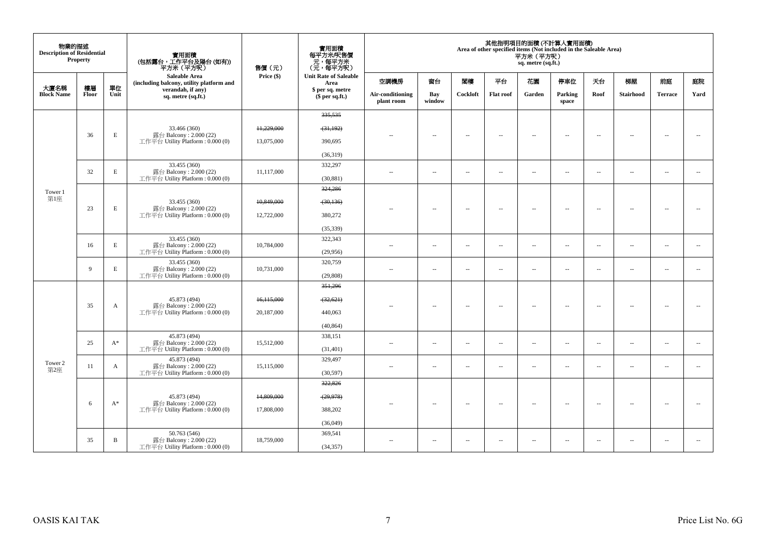| 物業的描述<br><b>Description of Residential</b> | <b>Property</b> |            | 實用面積<br>(包括露台,工作平台及陽台 (如有))<br>平方米(平方呎)                          | 售價 (元)       | 實用面積<br>每平方米/呎售價<br>元,每平方米<br>(元,每平方呎) |                                |                          |                          |                          | 平方米 (平方呎)<br>sq. metre (sq.ft.) | 其他指明項目的面積 (不計算入實用面積)<br>Area of other specified items (Not included in the Saleable Area) |                          |                          |                          |                          |
|--------------------------------------------|-----------------|------------|------------------------------------------------------------------|--------------|----------------------------------------|--------------------------------|--------------------------|--------------------------|--------------------------|---------------------------------|-------------------------------------------------------------------------------------------|--------------------------|--------------------------|--------------------------|--------------------------|
|                                            |                 |            | <b>Saleable Area</b><br>(including balcony, utility platform and | Price $(\$)$ | <b>Unit Rate of Saleable</b><br>Area   | 空調機房                           | 窗台                       | 閣樓                       | 平台                       | 花園                              | 停車位                                                                                       | 天台                       | 梯屋                       | 前庭                       | 庭院                       |
| 大廈名稱<br><b>Block Name</b>                  | 樓層<br>Floor     | 單位<br>Unit | verandah, if any)<br>sq. metre (sq.ft.)                          |              | \$ per sq. metre<br>$$$ per sq.ft.)    | Air-conditioning<br>plant room | Bay<br>window            | Cockloft                 | <b>Flat roof</b>         | Garden                          | Parking<br>space                                                                          | Roof                     | Stairhood                | <b>Terrace</b>           | Yard                     |
|                                            |                 |            |                                                                  |              | 335, 535                               |                                |                          |                          |                          |                                 |                                                                                           |                          |                          |                          |                          |
|                                            |                 |            | 33.466 (360)                                                     | 11,229,000   | (31, 192)                              |                                |                          |                          |                          |                                 |                                                                                           |                          |                          |                          |                          |
|                                            | 36              | E          | 露台 Balcony: 2.000 (22)<br>工作平台 Utility Platform: 0.000 (0)       | 13,075,000   | 390,695                                | $\sim$                         | $\overline{\phantom{a}}$ | $\overline{\phantom{a}}$ | $\sim$                   | $\overline{\phantom{a}}$        | $\overline{\phantom{a}}$                                                                  | $\overline{\phantom{a}}$ | $\overline{\phantom{a}}$ | $\overline{\phantom{a}}$ | $\overline{\phantom{a}}$ |
|                                            |                 |            |                                                                  |              | (36,319)                               |                                |                          |                          |                          |                                 |                                                                                           |                          |                          |                          |                          |
|                                            |                 |            | 33.455 (360)                                                     |              | 332,297                                |                                |                          |                          |                          |                                 |                                                                                           |                          |                          |                          |                          |
|                                            | 32              | E          | 露台 Balcony: 2.000 (22)<br>工作平台 Utility Platform: 0.000 (0)       | 11.117.000   | (30, 881)                              | $\sim$                         | $\overline{\phantom{a}}$ | $\overline{a}$           | $\sim$                   | $\sim$                          | $\sim$                                                                                    | $\overline{\phantom{a}}$ | $\overline{\phantom{a}}$ | $\overline{\phantom{a}}$ | $\sim$                   |
| Tower 1                                    |                 |            |                                                                  |              | 324,286                                |                                |                          |                          |                          |                                 |                                                                                           |                          |                          |                          |                          |
| 第1座                                        |                 |            | 33.455 (360)                                                     | 10,849,000   | (30, 136)                              |                                |                          |                          |                          |                                 |                                                                                           |                          |                          |                          |                          |
|                                            | 23              | E          | 露台 Balcony: 2.000 (22)<br>工作平台 Utility Platform: 0.000 (0)       | 12,722,000   | 380,272                                | $-$                            | $\sim$                   | $\sim$                   | $\sim$                   | $\overline{\phantom{a}}$        | $\sim$                                                                                    | $\overline{\phantom{a}}$ | $\sim$                   | $\sim$                   | $\sim$                   |
|                                            |                 |            |                                                                  |              | (35, 339)                              |                                |                          |                          |                          |                                 |                                                                                           |                          |                          |                          |                          |
|                                            | 16              | E          | 33.455 (360)<br>露台 Balcony: 2.000 (22)                           | 10,784,000   | 322,343                                |                                |                          |                          |                          |                                 |                                                                                           |                          |                          |                          |                          |
|                                            |                 |            | 工作平台 Utility Platform: 0.000 (0)                                 |              | (29,956)                               | $\sim$ $-$                     | $\overline{\phantom{a}}$ | $\sim$                   | $\overline{\phantom{a}}$ | $\overline{\phantom{a}}$        | $\overline{\phantom{a}}$                                                                  | $\sim$                   | $\overline{\phantom{a}}$ | $\sim$                   | $\sim$                   |
|                                            | $\overline{9}$  | E          | 33.455 (360)<br>露台 Balcony: 2.000 (22)                           | 10,731,000   | 320,759                                | $\sim$                         | $\sim$                   | $\overline{a}$           | $\sim$                   | $\overline{\phantom{a}}$        | $\sim$                                                                                    | $\overline{\phantom{a}}$ | $\sim$                   | $\sim$                   | $\sim$                   |
|                                            |                 |            | 工作平台 Utility Platform: 0.000 (0)                                 |              | (29, 808)                              |                                |                          |                          |                          |                                 |                                                                                           |                          |                          |                          |                          |
|                                            |                 |            |                                                                  |              | 351,296                                |                                |                          |                          |                          |                                 |                                                                                           |                          |                          |                          |                          |
|                                            | 35              |            | 45.873 (494)<br>露台 Balcony: 2.000 (22)                           | 16,115,000   | (32, 621)                              |                                |                          | $\sim$                   |                          | $\sim$                          | $\sim$                                                                                    | $\overline{\phantom{a}}$ | $\overline{\phantom{a}}$ | $\sim$                   | $\sim$                   |
|                                            |                 | A          | 工作平台 Utility Platform: 0.000 (0)                                 | 20,187,000   | 440,063                                | $\sim$ $\sim$                  | $\sim$                   |                          | $\sim$                   |                                 |                                                                                           |                          |                          |                          |                          |
|                                            |                 |            |                                                                  |              | (40, 864)                              |                                |                          |                          |                          |                                 |                                                                                           |                          |                          |                          |                          |
|                                            | 25              | $A^*$      | 45.873 (494)<br>露台 Balcony: 2.000 (22)                           | 15,512,000   | 338,151                                | $\sim$ $\sim$                  | $\sim$                   | $\sim$                   | $\sim$                   | $\overline{a}$                  | $\sim$                                                                                    | $\sim$                   | $\sim$                   | $\sim$                   | $\sim$                   |
|                                            |                 |            | 工作平台 Utility Platform: 0.000 (0)                                 |              | (31, 401)                              |                                |                          |                          |                          |                                 |                                                                                           |                          |                          |                          |                          |
| Tower 2                                    | 11              | A          | 45.873 (494)<br>露台 Balcony: 2.000 (22)                           | 15,115,000   | 329,497                                | $\sim$ $\sim$                  | $\sim$                   | $\sim$                   | $\sim$                   | $\sim$                          | $\sim$                                                                                    | $\overline{\phantom{a}}$ | $\sim$                   | $\sim$                   | $\overline{\phantom{a}}$ |
| 第2座                                        |                 |            | 工作平台 Utility Platform: 0.000 (0)                                 |              | (30,597)                               |                                |                          |                          |                          |                                 |                                                                                           |                          |                          |                          |                          |
|                                            |                 |            |                                                                  |              | 322,826                                |                                |                          |                          |                          |                                 |                                                                                           |                          |                          |                          |                          |
|                                            | 6               | $A^*$      | 45.873 (494)<br>露台 Balcony: 2.000 (22)                           | 14,809,000   | (29, 978)                              | $-$                            | $\overline{\phantom{a}}$ | $\sim$                   | $\overline{\phantom{a}}$ | $\overline{\phantom{a}}$        | $\sim$                                                                                    | $\sim$                   | $\overline{\phantom{a}}$ | $\sim$                   | $\sim$                   |
|                                            |                 |            | 工作平台 Utility Platform: 0.000 (0)                                 | 17,808,000   | 388,202                                |                                |                          |                          |                          |                                 |                                                                                           |                          |                          |                          |                          |
|                                            |                 |            |                                                                  |              | (36,049)                               |                                |                          |                          |                          |                                 |                                                                                           |                          |                          |                          |                          |
|                                            | 35              | B          | 50.763 (546)<br>露台 Balcony: 2.000 (22)                           | 18,759,000   | 369,541                                | $\sim$                         | $\overline{\phantom{a}}$ | $\overline{\phantom{a}}$ | $\sim$                   | $\overline{\phantom{a}}$        | $\sim$                                                                                    | $\overline{\phantom{a}}$ | $\overline{\phantom{a}}$ | $\overline{\phantom{a}}$ | $\sim$                   |
|                                            |                 |            | 工作平台 Utility Platform: 0.000 (0)                                 |              | (34, 357)                              |                                |                          |                          |                          |                                 |                                                                                           |                          |                          |                          |                          |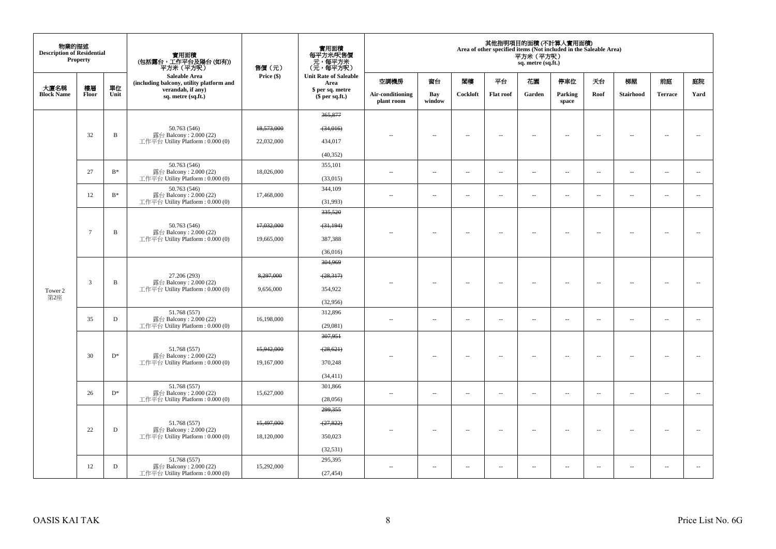| 物業的描述<br><b>Description of Residential</b> | <b>Property</b> |              | 實用面積<br>(包括露台,工作平台及陽台 (如有))<br>平方米(平方呎)                                    | 售價(元)      | 實用面積<br>每平方米/呎售價<br>- 元,每平方米<br>(元,每平方呎) |                                |                          |                          |                          | 平方米(平方呎)<br>sq. metre (sq.ft.) | 其他指明項目的面積 (不計算入實用面積)<br>Area of other specified items (Not included in the Saleable Area) |                          |                          |                          |                          |
|--------------------------------------------|-----------------|--------------|----------------------------------------------------------------------------|------------|------------------------------------------|--------------------------------|--------------------------|--------------------------|--------------------------|--------------------------------|-------------------------------------------------------------------------------------------|--------------------------|--------------------------|--------------------------|--------------------------|
|                                            |                 |              | <b>Saleable Area</b><br>(including balcony, utility platform and           | Price (\$) | <b>Unit Rate of Saleable</b><br>Area     | 空調機房                           | 窗台                       | 関樓                       | 平台                       | 花園                             | 停車位                                                                                       | 天台                       | 梯屋                       | 前庭                       | 庭院                       |
| 大廈名稱<br><b>Block Name</b>                  | 樓層<br>Floor     | 單位<br>Unit   | verandah, if any)<br>sq. metre (sq.ft.)                                    |            | \$ per sq. metre<br>$$$ per sq.ft.)      | Air-conditioning<br>plant room | Bay<br>window            | Cockloft                 | <b>Flat roof</b>         | Garden                         | Parking<br>space                                                                          | Roof                     | Stairhood                | <b>Terrace</b>           | Yard                     |
|                                            |                 |              |                                                                            |            | 365,877                                  |                                |                          |                          |                          |                                |                                                                                           |                          |                          |                          |                          |
|                                            |                 |              | 50.763 (546)                                                               | 18,573,000 | (34,016)                                 |                                |                          |                          |                          |                                |                                                                                           |                          |                          |                          |                          |
|                                            | 32              | B            | 露台 Balcony: 2.000 (22)<br>工作平台 Utility Platform: 0.000 (0)                 | 22,032,000 | 434,017                                  |                                | $\overline{\phantom{a}}$ | $\sim$                   | $\overline{\phantom{a}}$ | $\sim$                         | $\sim$                                                                                    | $\sim$                   | $\overline{\phantom{a}}$ | $\overline{\phantom{a}}$ | $\sim$                   |
|                                            |                 |              |                                                                            |            | (40, 352)                                |                                |                          |                          |                          |                                |                                                                                           |                          |                          |                          |                          |
|                                            | 27              | $B*$         | 50.763 (546)<br>露台 Balcony: 2.000 (22)                                     | 18,026,000 | 355,101                                  | 44                             | $\overline{\phantom{a}}$ | $\overline{\phantom{a}}$ | $\overline{\phantom{a}}$ | $\overline{\phantom{a}}$       | $\overline{\phantom{a}}$                                                                  | $\overline{\phantom{a}}$ | $\overline{\phantom{a}}$ | $\overline{\phantom{a}}$ | $\sim$                   |
|                                            |                 |              | 工作平台 Utility Platform: 0.000 (0)                                           |            | (33,015)                                 |                                |                          |                          |                          |                                |                                                                                           |                          |                          |                          |                          |
|                                            | 12              | $B^*$        | 50.763 (546)<br>露台 Balcony: 2.000 (22)                                     | 17,468,000 | 344,109                                  | $\overline{\phantom{a}}$       | $\overline{\phantom{a}}$ | $\overline{\phantom{a}}$ | $\overline{\phantom{a}}$ | $\overline{\phantom{a}}$       | $\overline{\phantom{a}}$                                                                  | $\overline{\phantom{a}}$ | $\overline{\phantom{a}}$ | $\overline{\phantom{a}}$ | $\sim$                   |
|                                            |                 |              | 工作平台 Utility Platform: 0.000 (0)                                           |            | (31,993)                                 |                                |                          |                          |                          |                                |                                                                                           |                          |                          |                          |                          |
|                                            |                 |              |                                                                            |            | 335,520                                  |                                |                          |                          |                          |                                |                                                                                           |                          |                          |                          |                          |
|                                            | $\overline{7}$  | $\mathbf B$  | 50.763 (546)<br>露台 Balcony: 2.000 (22)                                     | 17,032,000 | (31, 194)                                | ٠.                             | $\sim$                   | $\sim$                   | $\sim$                   | $\sim$                         | $\sim$                                                                                    | $\sim$                   | $\sim$                   | $\overline{\phantom{a}}$ | $\sim$                   |
|                                            |                 |              | 工作平台 Utility Platform: 0.000 (0)                                           | 19,665,000 | 387,388                                  |                                |                          |                          |                          |                                |                                                                                           |                          |                          |                          |                          |
|                                            |                 |              |                                                                            |            | (36,016)                                 |                                |                          |                          |                          |                                |                                                                                           |                          |                          |                          |                          |
|                                            |                 |              | 27.206 (293)<br>露台 Balcony: 2.000 (22)<br>工作平台 Utility Platform: 0.000 (0) |            | 304,969                                  |                                |                          |                          |                          |                                |                                                                                           |                          |                          |                          |                          |
|                                            | $\mathfrak{Z}$  | $\, {\bf B}$ |                                                                            | 8,297,000  | (28, 317)                                |                                | $\sim$                   | $\sim$                   | $\sim$                   | $\sim$                         | $\overline{\phantom{a}}$                                                                  | $\overline{\phantom{a}}$ | $\ddot{\phantom{a}}$     | $\overline{\phantom{a}}$ |                          |
| Tower 2<br>第2座                             |                 |              |                                                                            | 9,656,000  | 354,922                                  |                                |                          |                          |                          |                                |                                                                                           |                          |                          |                          |                          |
|                                            |                 |              | 51.768 (557)                                                               |            | (32,956)                                 |                                |                          |                          |                          |                                |                                                                                           |                          |                          |                          |                          |
|                                            | 35              | $\mathbf D$  | 露台 Balcony: 2.000 (22)                                                     | 16,198,000 | 312,896                                  | $\sim$                         | $\overline{\phantom{a}}$ | $\sim$                   | $\sim$                   | $\sim$                         | $\sim$                                                                                    | $\overline{\phantom{a}}$ | $\ddot{\phantom{a}}$     | $\overline{\phantom{a}}$ | $\sim$                   |
|                                            |                 |              | 工作平台 Utility Platform: 0.000 (0)                                           |            | (29,081)<br>307,951                      |                                |                          |                          |                          |                                |                                                                                           |                          |                          |                          |                          |
|                                            |                 |              | 51.768 (557)                                                               | 15.942.000 | (28, 621)                                |                                |                          |                          |                          |                                |                                                                                           |                          |                          |                          |                          |
|                                            | 30              | $D^*$        | 露台 Balcony: 2.000 (22)<br>工作平台 Utility Platform: 0.000 (0)                 | 19,167,000 | 370,248                                  |                                | $\sim$                   | $\sim$                   | $\sim$                   | $\sim$                         | $\overline{\phantom{a}}$                                                                  | $\sim$                   | $\overline{a}$           | $\overline{\phantom{a}}$ |                          |
|                                            |                 |              |                                                                            |            | (34, 411)                                |                                |                          |                          |                          |                                |                                                                                           |                          |                          |                          |                          |
|                                            |                 |              | 51.768 (557)                                                               |            | 301,866                                  |                                |                          |                          |                          |                                |                                                                                           |                          |                          |                          |                          |
|                                            | 26              | $D^*$        | 露台 Balcony: 2.000 (22)<br>工作平台 Utility Platform: 0.000 (0)                 | 15,627,000 | (28,056)                                 | $\sim$                         | $\overline{\phantom{a}}$ | $\overline{\phantom{a}}$ | $\sim$                   | $\overline{\phantom{a}}$       | $\overline{\phantom{a}}$                                                                  | $\overline{\phantom{a}}$ | $\overline{\phantom{a}}$ | $\overline{\phantom{a}}$ | $\overline{\phantom{a}}$ |
|                                            |                 |              |                                                                            |            | 299,355                                  |                                |                          |                          |                          |                                |                                                                                           |                          |                          |                          |                          |
|                                            |                 |              | 51.768 (557)                                                               | 15,497,000 | (27, 822)                                |                                |                          |                          |                          |                                |                                                                                           |                          |                          |                          |                          |
|                                            | 22              | $\mathbf D$  | 露台 Balcony: 2.000 (22)<br>工作平台 Utility Platform: 0.000 (0)                 | 18,120,000 | 350,023                                  |                                | $\overline{\phantom{a}}$ | $\sim$                   | $\overline{a}$           | $\sim$                         | $\sim$                                                                                    | $\overline{\phantom{a}}$ | $\overline{\phantom{a}}$ | $\overline{\phantom{a}}$ | $\sim$                   |
|                                            |                 |              |                                                                            |            | (32, 531)                                |                                |                          |                          |                          |                                |                                                                                           |                          |                          |                          |                          |
|                                            |                 |              | 51.768 (557)                                                               |            | 295,395                                  |                                |                          |                          |                          |                                |                                                                                           |                          |                          |                          |                          |
|                                            | 12              | D            | 露台 Balcony: 2.000 (22)<br>工作平台 Utility Platform: 0.000 (0)                 | 15,292,000 | (27, 454)                                | $\overline{\phantom{a}}$       | $\overline{\phantom{a}}$ | $\sim$                   | $\sim$                   | $\overline{a}$                 | $\sim$                                                                                    | $\sim$                   | $\overline{\phantom{a}}$ | $\ddot{\phantom{a}}$     |                          |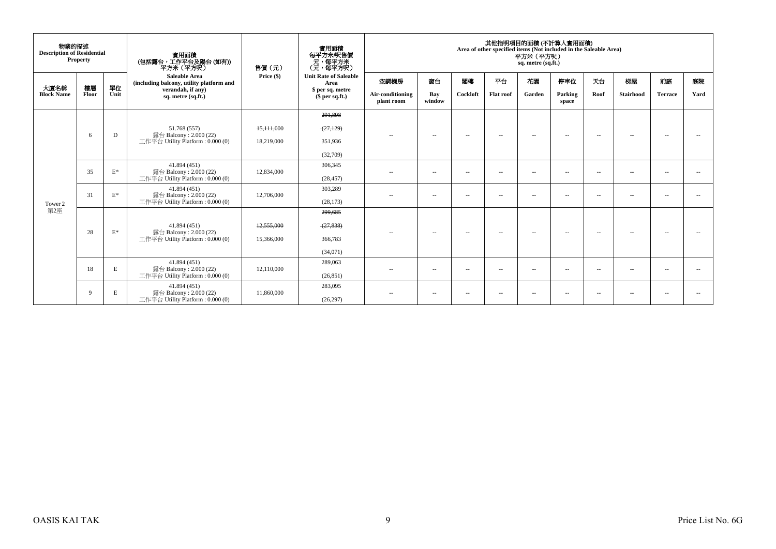| 物業的描述<br><b>Description of Residential</b> | <b>Property</b> |                                        | 實用面積<br>(包括露台,工作平台及陽台(如有))<br>平方米 (平方呎)                                  | 售價(元)        | 實用面積<br>每平方米/呎售價<br>- 元, 每平方米<br>(元, 每平方呎) |                                |                          |                          |                  | 平方米 (平方呎)<br>sq. metre (sq.ft.) | 其他指明項目的面積 (不計算入實用面積)<br>Area of other specified items (Not included in the Saleable Area) |                          |                          |                          |      |
|--------------------------------------------|-----------------|----------------------------------------|--------------------------------------------------------------------------|--------------|--------------------------------------------|--------------------------------|--------------------------|--------------------------|------------------|---------------------------------|-------------------------------------------------------------------------------------------|--------------------------|--------------------------|--------------------------|------|
| 大廈名稱                                       | 樓層              | 單位                                     | <b>Saleable Area</b><br>(including balcony, utility platform and         | Price (\$)   | <b>Unit Rate of Saleable</b><br>Area       | 空調機房                           | 窗台                       | 閣樓                       | 平台               | 花園                              | 停車位                                                                                       | 天台                       | 梯屋                       | 前庭                       | 庭院   |
| <b>Block Name</b>                          | Floor           | Unit                                   | verandah, if any)<br>sq. metre (sq.ft.)                                  |              | \$ per sq. metre<br>$$$ per sq.ft.)        | Air-conditioning<br>plant room | Bay<br>window            | Cockloft                 | <b>Flat roof</b> | Garden                          | Parking<br>space                                                                          | Roof                     | Stairhood                | <b>Terrace</b>           | Yard |
|                                            |                 |                                        |                                                                          |              | 291,898                                    |                                |                          |                          |                  |                                 |                                                                                           |                          |                          |                          |      |
|                                            |                 |                                        | 51.768 (557)                                                             | 15, 111, 000 | (27, 129)                                  |                                |                          |                          |                  |                                 |                                                                                           |                          |                          |                          |      |
|                                            | 6               | D                                      | 露台 Balcony: 2.000 (22)<br>工作平台 Utility Platform : $0.000(0)$             | 18,219,000   | 351,936                                    | $\sim$                         | $\overline{\phantom{a}}$ | $\overline{a}$           | $\overline{a}$   | $\sim$                          | $\overline{\phantom{a}}$                                                                  | $\overline{\phantom{a}}$ | $\sim$                   |                          |      |
| 35<br>31                                   |                 |                                        |                                                                          |              | (32,709)                                   |                                |                          |                          |                  |                                 |                                                                                           |                          |                          |                          |      |
|                                            |                 | $\mathcal{E}^*$                        | 41.894 (451)<br>露台 Balcony: 2.000 (22)                                   | 12,834,000   | 306,345                                    | $\sim$ $-$                     | $\sim$                   | $\overline{\phantom{a}}$ | $\overline{a}$   | $\sim$                          | $- -$                                                                                     | $\sim$                   | $\overline{\phantom{a}}$ | $\overline{a}$           |      |
|                                            |                 |                                        | 工作平台 Utility Platform: 0.000 (0)                                         |              | (28, 457)                                  |                                |                          |                          |                  |                                 |                                                                                           |                          |                          |                          |      |
|                                            | $\mathbf{E}^*$  | 41.894 (451)<br>露台 Balcony: 2.000 (22) | 12,706,000                                                               | 303,289      | $\sim$ $-$                                 | $\sim$                         | $\overline{\phantom{a}}$ | $\sim$                   | $\sim$           | $- -$                           | $ -$                                                                                      | $\sim$                   | $\sim$ $-$               |                          |      |
| Tower 2                                    |                 |                                        | 工作平台 Utility Platform: 0.000 (0)                                         |              | (28, 173)                                  |                                |                          |                          |                  |                                 |                                                                                           |                          |                          |                          |      |
| 第2座                                        |                 |                                        |                                                                          |              | 299,685                                    |                                |                          |                          |                  |                                 |                                                                                           |                          |                          |                          |      |
|                                            | 28              | $E^*$                                  | 41.894 (451)<br>露台 Balcony: 2.000 (22)                                   | 12,555,000   | (27, 838)                                  | $\sim$                         | $\overline{\phantom{a}}$ | $\sim$ $-$               | $\sim$           | $\sim$                          | $\sim$                                                                                    | $\sim$                   | $\sim$                   | $\sim$                   |      |
|                                            |                 |                                        | 工作平台 Utility Platform : $0.000(0)$                                       | 15,366,000   | 366,783                                    |                                |                          |                          |                  |                                 |                                                                                           |                          |                          |                          |      |
|                                            |                 |                                        |                                                                          |              | (34,071)                                   |                                |                          |                          |                  |                                 |                                                                                           |                          |                          |                          |      |
|                                            | 18              | E                                      | 41.894 (451)                                                             | 289,063      | $\sim$                                     | $\overline{\phantom{a}}$       | $\overline{\phantom{a}}$ | $- -$                    | $\sim$ $-$       | $\sim$                          | $\overline{\phantom{a}}$                                                                  | $\sim$                   | $\overline{\phantom{a}}$ | $\overline{\phantom{a}}$ |      |
|                                            |                 |                                        | 露台 Balcony: 2.000 (22)<br>12,110,000<br>工作平台 Utility Platform: 0.000 (0) |              | (26, 851)                                  |                                |                          |                          |                  |                                 |                                                                                           |                          |                          |                          |      |
|                                            | 9               | Е                                      | 41.894 (451)<br>露台 Balcony: 2.000 (22)                                   | 11,860,000   | 283,095                                    | $- -$                          | $\sim$                   | $\overline{\phantom{a}}$ | $\overline{a}$   | $\sim$                          | $\sim$                                                                                    | $\sim$                   | $\sim$                   | $\overline{\phantom{a}}$ |      |
|                                            |                 |                                        | 工作平台 Utility Platform: 0.000 (0)                                         |              | (26, 297)                                  |                                |                          |                          |                  |                                 |                                                                                           |                          |                          |                          |      |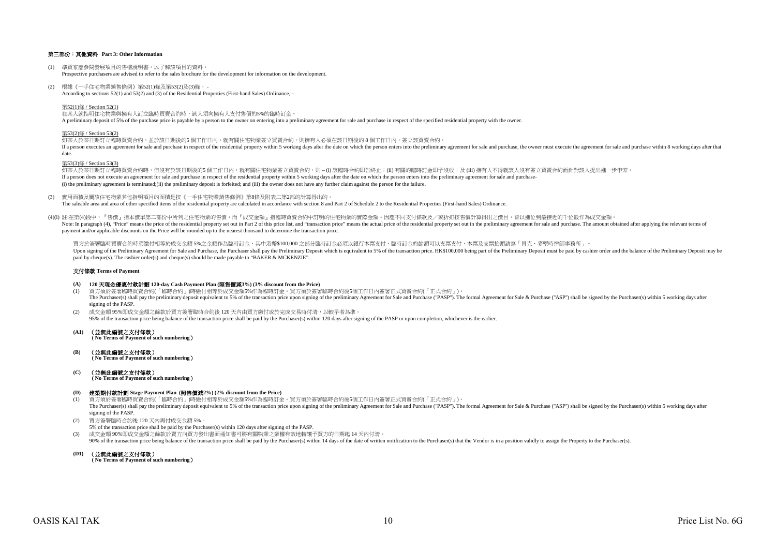### 第三部份:其他資料 **Part 3: Other Information**

- (1) 準買家應參閱發展項目的售樓說明書,以了解該項目的資料。 Prospective purchasers are advised to refer to the sales brochure for the development for information on the development.
- (2) 根據《一手住宅物業銷售條例》第52(1)條及第53(2)及(3)條, According to sections 52(1) and 53(2) and (3) of the Residential Properties (First-hand Sales) Ordinance, –

第52(1)條 / Section 52(1)

在某人就指明住宅物業與擁有人訂立臨時買賣合約時,該人須向擁有人支付售價的5%的臨時訂金。 A preliminary deposit of 5% of the purchase price is payable by a person to the owner on entering into a preliminary agreement for sale and purchase in respect of the specified residential property with the owner.

#### 第53(2)條 / Section 53(2)

如某人於某日期訂立臨時買賣合約,並於該日期後的5個工作日內,就有關住宅物業簽立買賣合約,則擁有人必須在該日期後的8個工作日內,簽立該買賣合約。 If a person executes an agreement for sale and purchase in respect of the residential property within 5 working days after the date on which the person enters into the preliminary agreement for sale and purchase, the owner date.

#### 第53(3)條 / Section 53(3)

如某人於某日期訂立臨時買賣合約時,但沒有於該日期後的5 個工作日內,就有關住宅物業簽立買賣合約,則 – (i) 該臨時合約即告終止;(ii) 有關的臨時訂金即予沒收;及 (iii) 擁有人不得就該人沒有簽立買賣合約而針對該人提出進一步申索。 If a person does not execute an agreement for sale and purchase in respect of the residential property within 5 working days after the date on which the person enters into the preliminary agreement for sale and purchase-(i) the preliminary agreement is terminated;(ii) the preliminary deposit is forfeited; and (iii) the owner does not have any further claim against the person for the failure.

(3) 實用面積及屬該住宅物業其他指明項目的面積是按《一手住宅物業銷售條例》第8條及附表二第2部的計算得出的。

The saleable area and area of other specified items of the residential property are calculated in accordance with section 8 and Part 2 of Schedule 2 to the Residential Properties (First-hand Sales) Ordinance.

(4)(i) 註:在第(4)段中,『售價』指本價單第二部份中所列之住宅物業的售價,而『成交金額』指臨時買賣合約中訂明的住宅物業的實際金額。因應不同支付條款及/或折扣按售價計算得出之價目,皆以進位到最接近的千位數作為成交金額。  $\frac{1}{2}$ payment and/or applicable discounts on the Price will be rounded up to the nearest thousand to determine the transaction price.

買方於簽署臨時買賣合約時須繳付相等於成交金額 5%之金額作為臨時訂金,其中港幣\$100,000 之部分臨時訂金必須以銀行本票支付,臨時訂金的餘額可以支票支付,本票及支票抬頭請寫「貝克.麥堅時律師事務所」。 Upon signing of the Preliminary Agreement for Sale and Purchase, the Purchaser shall pay the Preliminary Deposit which is equivalent to 5% of the transaction price. HK\$100,000 being part of the Preliminary Deposit must be paid by cheque(s). The cashier order(s) and cheque(s) should be made payable to "BAKER & MCKENZIE".

#### 支付條款 **Terms of Payment**

- **(A) 120** 天現金優惠付款計劃 **120-day Cash Payment Plan (**照售價減**3%) (3% discount from the Price)**
- 。<br>(1) 買方須於簽署臨時買賣合約(「臨時合約」)時繳付相等於成交金額5%作為臨時訂金。買方須於签署臨時合約後5個工作日內签署正式買賣合約(「正式合約」)。 The Purchaser(s) shall pay the preliminary deposit equivalent to 5% of the transaction price upon signing of the preliminary Agreement for Sale and Purchase ("PASP"). The formal Agreement for Sale & Purchase ("ASP") shall signing of the PASE
- (2) 成交金額 95%即成交金額之餘款於買方簽署臨時合約後 120 天內由買方繳付或於完成交易時付清,以較早者為準。 95% of the transaction price being balance of the transaction price shall be paid by the Purchaser(s) within 120 days after signing of the PASP or upon completion, whichever is the earlier.
- **(A1)** (並無此編號之支付條款)  **( No Terms of Payment of such numbering**)

**(B)** (並無此編號之支付條款)  **( No Terms of Payment of such numbering**)

**(C)** (並無此編號之支付條款)

 **( No Terms of Payment of such numbering**)

#### **(D)** 建築期付款計劃 **Stage Payment Plan (**照售價減**2%) (2% discount from the Price)**

- (1) 買方須於簽署臨時買賣合約(「臨時合約」)時繳付相等於成交金額5%作為臨時訂金。買方須於簽署臨時合約後5個工作日內簽署正式買賣合約(「正式合約」)。 The Purchaser(s) shall pay the preliminary deposit equivalent to 5% of the transaction price upon signing of the preliminary Agreement for Sale and Purchase ("PASP"). The formal Agreement for Sale & Purchase ("ASP") shall signing of the PASP.
- (2) 買方簽署臨時合約後 120 天內再付成交金額 5%。
- 5% of the transaction price shall be paid by the Purchaser(s) within 120 days after signing of the PASP.
- (3) 成交金額 90%即成交金額之餘款於賣方向買方發出書面通知書可將有關物業之業權有效地轉讓予買方的日期起 14 天內付清。
- 90% of the transaction price being balance of the transaction price shall be paid by the Purchaser(s) within 14 days of the date of written notification to the Purchaser(s) that the Vendor is in a position validly to assig
- **(D1)** (並無此編號之支付條款)

 **( No Terms of Payment of such numbering**)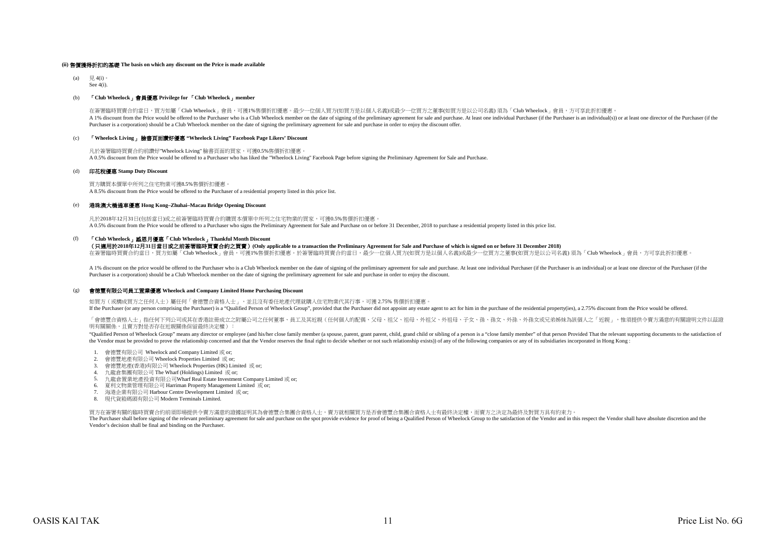#### **(ii)** 售價獲得折扣的基礎 **The basis on which any discount on the Price is made available**

(a) 見 4(i)。 See 4(i).

#### (b) 「**Club Wheelock**」會員優惠 **Privilege for** 「**Club Wheelock**」**member**

在簽署臨時買賣合約當日,買方如屬「Club Wheelock」會員,可獲1%售價折扣優惠。最少一位個人買方(如買方是以個人名義)或最少一位買方之董事(如買方是以公司名義) 須為「Club Wheelock」會員,方可享此折扣優惠 A 1% discount from the Price would be offered to the Purchaser who is a Club Wheelock member on the date of signing of the preliminary agreement for sale and purchase. At least one individual Purchaser (if the Purchaser is Purchaser is a corporation) should be a Club Wheelock member on the date of signing the preliminary agreement for sale and purchase in order to enjoy the discount offer.

## (c) 「**Wheelock Living**」 臉書頁面讚好優惠 **"Wheelock Living" Facebook Page Likers' Discount**

凡於簽署臨時買賣合約前讚好"Wheelock Living" 臉書頁面的買家,可獲0.5%售價折扣優惠。 A 0.5% discount from the Price would be offered to a Purchaser who has liked the "Wheelock Living" Facebook Page before signing the Preliminary Agreement for Sale and Purchase.

#### (d) 印花稅優惠 **Stamp Duty Discount**

買方購買本價單中所列之住宅物業可獲8.5%售價折扣優惠。 A 8.5% discount from the Price would be offered to the Purchaser of a residential property listed in this price list.

#### (e) 港珠澳大橋通車優惠 **Hong Kong–Zhuhai–Macau Bridge Opening Discount**

凡於2018年12月31日(包括當日)或之前簽署臨時買賣合約購買本價單中所列之住宅物業的買家,可獲0.5%售價折扣優惠。 A 0.5% discount from the Price would be offered to a Purchaser who signs the Preliminary Agreement for Sale and Purchase on or before 31 December, 2018 to purchase a residential property listed in this price list.

#### (f) 「**Club Wheelock**」感恩月優惠「**Club Wheelock**」**Thankful Month Discount**

(只適用於**2018**年**12**月**31**日當日或之前簽署臨時買賣合約之買賣)**(Only applicable to a transaction the Preliminary Agreement for Sale and Purchase of which is signed on or before 31 December 2018)**

在簽署臨時買賣合約當日,買方如屬「Club Wheelock」會員,可獲1%售價折扣優惠。於簽署臨時買賣合約當日,最少一位個人買方(如買方是以個人名義)或最少一位買方之董事(如買方是以公司名義) 須為「Club Wheelock」會員,方可享此折扣優惠。

A 1% discount on the price would be offered to the Purchaser who is a Club Wheelock member on the date of signing of the preliminary agreement for sale and purchase. At least one individual Purchaser (if the Purchaser is a Purchaser is a corporation) should be a Club Wheelock member on the date of signing the preliminary agreement for sale and purchase in order to enjoy the discount.

#### (g) 會德豐有限公司員工置業優惠 **Wheelock and Company Limited Home Purchasing Discount**

如買方 (或構成買方之任何人士)屬任何「會德豐合資格人士」,並且沒有委任地產代理就購入住宅物業代其行事,可獲 2.75% 售價折扣優惠。 If the Purchaser (or any person comprising the Purchaser) is a "Qualified Person of Wheelock Group", provided that the Purchaser did not appoint any estate agent to act for him in the purchase of the residential property(

「會德豐合資格人士」指任何下列公司或其在香港註冊成立之附屬公司之任何董事、員工及其近親(任何個人的配偶、父母、祖父、祖母、外祖父、外祖母、子女、孫、孫女、外孫、外孫女或兄弟姊妹為該個人之「近親」,惟須提供令賣方滿意的有關證明文件以茲證 明有關關係,且賣方對是否存在近親關係保留最終決定權):

"Oualified Person of Wheelock Group" means any director or employee (and his/her close family member (a spouse, parent, grant parent, child, grand child or sibling of a person is a "close family member" of that person Prov the Vendor must be provided to prove the relationship concerned and that the Vendor reserves the final right to decide whether or not such relationship exists)) of any of the following companies or any of its subsidiaries

- 1. 會德豐有限公司 Wheelock and Company Limited 或 or;
- 2. 會德豐地產有限公司 Wheelock Properties Limited 或 or;
- 3. 會德豐地產(香港)有限公司 Wheelock Properties (HK) Limited 或 or;
- 4. 九龍倉集團有限公司 The Wharf (Holdings) Limited 或 or;
- 5. 九龍倉置業地產投資有限公司Wharf Real Estate Investment Company Limited 或 or;
- 6. 夏利文物業管理有限公司 Harriman Property Management Limited 或 or;
- 7. 海港企業有限公司 Harbour Centre Development Limited 或 or;
- 8. 現代貨箱碼頭有限公司 Modern Terminals Limited.

買方在簽署有關的臨時買賣合約前須即場提供令賣方滿意的證據証明其為會德豐合集團合資格人士,賣方就相關買方是否會德豐合集團合資格人士有最終決定權,而賣方之決定為最終及對買方具有約束力。

The Purchaser shall before signing of the relevant preliminary agreement for sale and purchase on the spot provide evidence for proof of being a Qualified Person of Wheelock Group to the satisfaction of the Vendor and in t Vendor's decision shall be final and binding on the Purchaser.